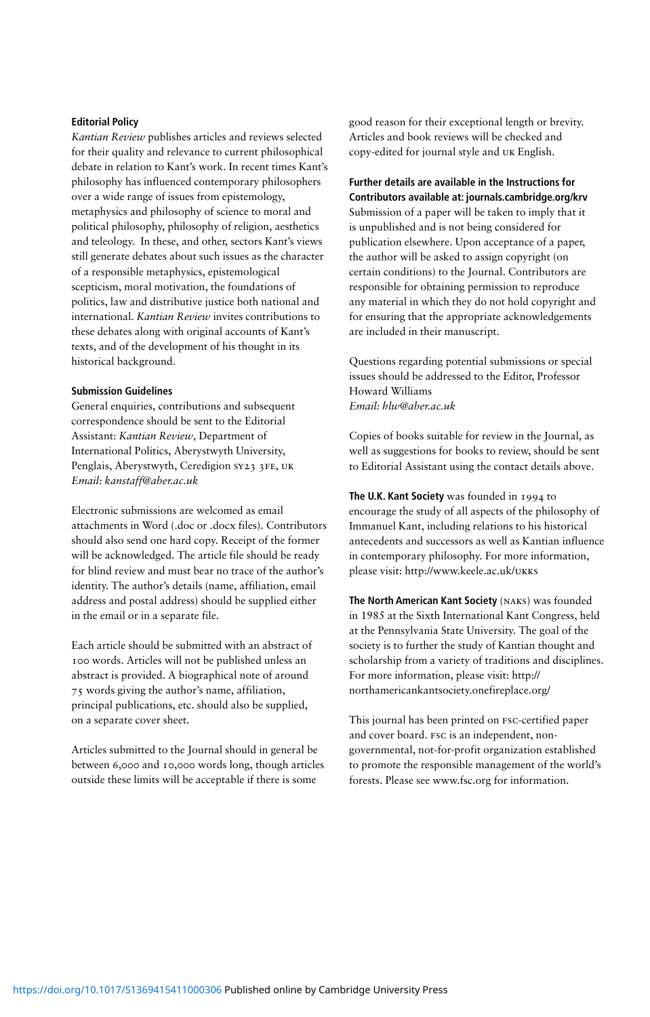#### **Editorial Policy**

*Kantian Review* publishes articles and reviews selected for their quality and relevance to current philosophical debate in relation to Kant's work. In recent times Kant's philosophy has influenced contemporary philosophers over a wide range of issues from epistemology, metaphysics and philosophy of science to moral and political philosophy, philosophy of religion, aesthetics and teleology. In these, and other, sectors Kant's views still generate debates about such issues as the character of a responsible metaphysics, epistemological scepticism, moral motivation, the foundations of politics, law and distributive justice both national and international. *Kantian Review* invites contributions to these debates along with original accounts of Kant's texts, and of the development of his thought in its historical background.

#### **Submission Guidelines**

General enquiries, contributions and subsequent correspondence should be sent to the Editorial Assistant: *Kantian Review*, Department of International Politics, Aberystwyth University, Penglais, Aberystwyth, Ceredigion SY23 3FE, UK *Email: kanstaff@aber.ac.uk* 

Electronic submissions are welcomed as email attachments in Word (.doc or .docx files). Contributors should also send one hard copy. Receipt of the former will be acknowledged. The article file should be ready for blind review and must bear no trace of the author's identity. The author's details (name, affiliation, email address and postal address) should be supplied either in the email or in a separate file.

Each article should be submitted with an abstract of 100 words. Articles will not be published unless an abstract is provided. A biographical note of around 75 words giving the author's name, affiliation, principal publications, etc. should also be supplied, on a separate cover sheet.

Articles submitted to the Journal should in general be between 6,000 and 10,000 words long, though articles outside these limits will be acceptable if there is some

good reason for their exceptional length or brevity. Articles and book reviews will be checked and copy-edited for journal style and uk English.

**Further details are available in the Instructions for Contributors available at: journals.cambridge.org/krv**  Submission of a paper will be taken to imply that it is unpublished and is not being considered for publication elsewhere. Upon acceptance of a paper, the author will be asked to assign copyright (on certain conditions) to the Journal. Contributors are responsible for obtaining permission to reproduce any material in which they do not hold copyright and for ensuring that the appropriate acknowledgements are included in their manuscript.

Questions regarding potential submissions or special issues should be addressed to the Editor, Professor Howard Williams *Email: hlw@aber.ac.uk* 

Copies of books suitable for review in the Journal, as well as suggestions for books to review, should be sent to Editorial Assistant using the contact details above.

**The U.K. Kant Society** was founded in 1994 to encourage the study of all aspects of the philosophy of Immanuel Kant, including relations to his historical antecedents and successors as well as Kantian influence in contemporary philosophy. For more information, please visit: http://www.keele.ac.uk/ukks

**The North American Kant Society** (NAKS) was founded in 1985 at the Sixth International Kant Congress, held at the Pennsylvania State University. The goal of the society is to further the study of Kantian thought and scholarship from a variety of traditions and disciplines. For more information, please visit: http:// northamericankantsociety.onefireplace.org/

This journal has been printed on FSC-certified paper and cover board. FSC is an independent, nongovernmental, not-for-profit organization established to promote the responsible management of the world's forests. Please see www.fsc.org for information.